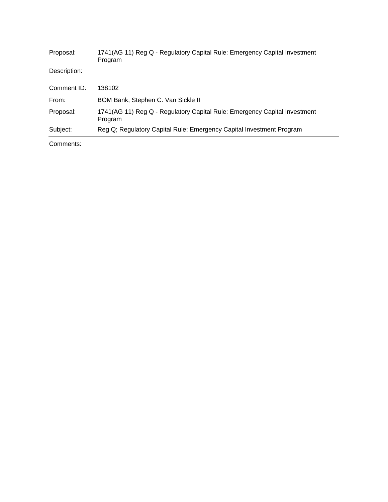| Proposal:    | 1741(AG 11) Reg Q - Regulatory Capital Rule: Emergency Capital Investment<br>Program |
|--------------|--------------------------------------------------------------------------------------|
| Description: |                                                                                      |
| Comment ID:  | 138102                                                                               |
| From:        | BOM Bank, Stephen C. Van Sickle II                                                   |
| Proposal:    | 1741(AG 11) Reg Q - Regulatory Capital Rule: Emergency Capital Investment<br>Program |
| Subject:     | Reg Q; Regulatory Capital Rule: Emergency Capital Investment Program                 |

Comments: